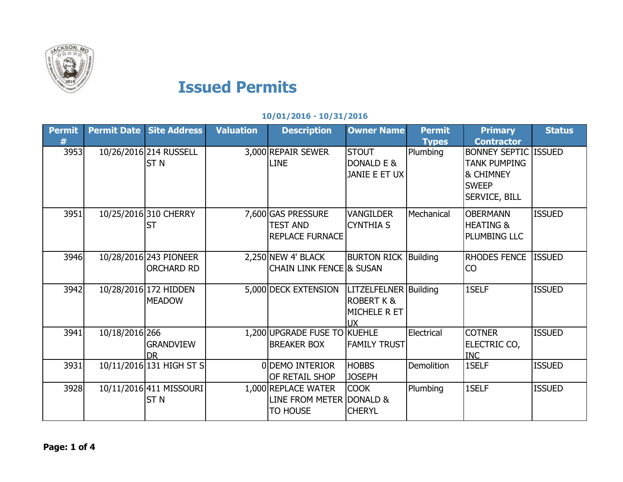

## **Issued Permits**

## **10/01/2016 - 10/31/2016**

| <b>Permit</b> | <b>Permit Date</b> | <b>Site Address</b>                         | <b>Valuation</b> | <b>Description</b>                                                 | <b>Owner Name</b>                                                           | <b>Permit</b><br><b>Types</b> | <b>Primary</b><br><b>Contractor</b>                                                                     | <b>Status</b> |
|---------------|--------------------|---------------------------------------------|------------------|--------------------------------------------------------------------|-----------------------------------------------------------------------------|-------------------------------|---------------------------------------------------------------------------------------------------------|---------------|
| 3953          |                    | 10/26/2016 214 RUSSELL<br>ST <sub>N</sub>   |                  | 3,000 REPAIR SEWER<br><b>LINE</b>                                  | <b>STOUT</b><br>DONALD E &<br>JANIE E ET UX                                 | Plumbing                      | <b>BONNEY SEPTIC ISSUED</b><br><b>TANK PUMPING</b><br>& CHIMNEY<br><b>SWEEP</b><br><b>SERVICE, BILL</b> |               |
| 3951          |                    | 10/25/2016 310 CHERRY<br><b>ST</b>          |                  | 7,600 GAS PRESSURE<br><b>TEST AND</b><br><b>REPLACE FURNACE</b>    | <b>VANGILDER</b><br><b>CYNTHIA S</b>                                        | Mechanical                    | <b>OBERMANN</b><br><b>HEATING &amp;</b><br>PLUMBING LLC                                                 | <b>ISSUED</b> |
| 3946          |                    | 10/28/2016 243 PIONEER<br><b>ORCHARD RD</b> |                  | $2,250$ NEW 4' BLACK<br><b>CHAIN LINK FENCE &amp; SUSAN</b>        | <b>BURTON RICK Building</b>                                                 |                               | <b>RHODES FENCE</b><br>CO                                                                               | <b>ISSUED</b> |
| 3942          |                    | 10/28/2016 172 HIDDEN<br><b>MEADOW</b>      |                  | 5,000 DECK EXTENSION                                               | LITZELFELNER Building<br><b>ROBERT K &amp;</b><br>MICHELE R ET<br><b>UX</b> |                               | 1SELF                                                                                                   | <b>ISSUED</b> |
| 3941          | 10/18/2016 266     | <b>GRANDVIEW</b><br>DR.                     |                  | 1,200 UPGRADE FUSE TO KUEHLE<br><b>BREAKER BOX</b>                 | <b>FAMILY TRUST</b>                                                         | Electrical                    | <b>COTNER</b><br>ELECTRIC CO,<br><b>INC</b>                                                             | <b>ISSUED</b> |
| 3931          |                    | 10/11/2016 131 HIGH ST S                    |                  | 0 DEMO INTERIOR<br>OF RETAIL SHOP                                  | <b>HOBBS</b><br><b>JOSEPH</b>                                               | <b>Demolition</b>             | 1SELF                                                                                                   | <b>ISSUED</b> |
| 3928          |                    | 10/11/2016 411 MISSOURI<br><b>STN</b>       |                  | 1,000 REPLACE WATER<br>LINE FROM METER DONALD &<br><b>TO HOUSE</b> | <b>COOK</b><br><b>CHERYL</b>                                                | Plumbing                      | 1SELF                                                                                                   | <b>ISSUED</b> |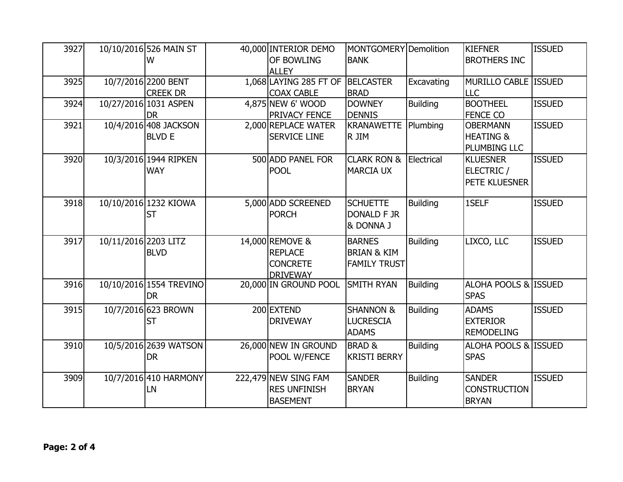| 3927 |                      | 10/10/2016 526 MAIN ST<br>W            | 40,000 INTERIOR DEMO<br>OF BOWLING<br><b>ALLEY</b>                      | MONTGOMERY Demolition<br><b>BANK</b>                           |                 | <b>KIEFNER</b><br><b>BROTHERS INC</b>                   | <b>ISSUED</b> |
|------|----------------------|----------------------------------------|-------------------------------------------------------------------------|----------------------------------------------------------------|-----------------|---------------------------------------------------------|---------------|
| 3925 |                      | 10/7/2016 2200 BENT<br><b>CREEK DR</b> | 1,068 LAYING 285 FT OF BELCASTER<br><b>COAX CABLE</b>                   | <b>BRAD</b>                                                    | Excavating      | MURILLO CABLE ISSUED<br>ILLC                            |               |
| 3924 |                      | 10/27/2016 1031 ASPEN<br><b>DR</b>     | 4,875 NEW 6' WOOD<br>PRIVACY FENCE                                      | <b>DOWNEY</b><br><b>DENNIS</b>                                 | <b>Building</b> | <b>BOOTHEEL</b><br><b>FENCE CO</b>                      | <b>ISSUED</b> |
| 3921 |                      | 10/4/2016 408 JACKSON<br><b>BLVD E</b> | 2,000 REPLACE WATER<br><b>SERVICE LINE</b>                              | KRANAWETTE<br>R JIM                                            | Plumbing        | <b>OBERMANN</b><br><b>HEATING &amp;</b><br>PLUMBING LLC | <b>ISSUED</b> |
| 3920 |                      | 10/3/2016 1944 RIPKEN<br><b>WAY</b>    | 500 ADD PANEL FOR<br><b>POOL</b>                                        | <b>CLARK RON &amp;</b><br><b>MARCIA UX</b>                     | Electrical      | <b>KLUESNER</b><br>ELECTRIC /<br>PETE KLUESNER          | <b>ISSUED</b> |
| 3918 |                      | 10/10/2016 1232 KIOWA<br><b>ST</b>     | 5,000 ADD SCREENED<br><b>PORCH</b>                                      | <b>SCHUETTE</b><br><b>DONALD F JR</b><br>& DONNA J             | <b>Building</b> | 1SELF                                                   | <b>ISSUED</b> |
| 3917 | 10/11/2016 2203 LITZ | <b>BLVD</b>                            | 14,000 REMOVE &<br><b>REPLACE</b><br><b>CONCRETE</b><br><b>DRIVEWAY</b> | <b>BARNES</b><br><b>BRIAN &amp; KIM</b><br><b>FAMILY TRUST</b> | <b>Building</b> | LIXCO, LLC                                              | <b>ISSUED</b> |
| 3916 |                      | 10/10/2016 1554 TREVINO<br><b>DR</b>   | 20,000 IN GROUND POOL                                                   | SMITH RYAN                                                     | <b>Building</b> | ALOHA POOLS & ISSUED<br><b>SPAS</b>                     |               |
| 3915 |                      | 10/7/2016 623 BROWN<br><b>ST</b>       | 200 EXTEND<br><b>DRIVEWAY</b>                                           | <b>SHANNON &amp;</b><br><b>LUCRESCIA</b><br><b>ADAMS</b>       | <b>Building</b> | <b>ADAMS</b><br><b>EXTERIOR</b><br><b>REMODELING</b>    | <b>ISSUED</b> |
| 3910 |                      | 10/5/2016 2639 WATSON<br><b>DR</b>     | 26,000 NEW IN GROUND<br>POOL W/FENCE                                    | <b>BRAD &amp;</b><br><b>KRISTI BERRY</b>                       | <b>Building</b> | ALOHA POOLS & ISSUED<br><b>SPAS</b>                     |               |
| 3909 |                      | 10/7/2016 410 HARMONY<br>LN            | 222,479 NEW SING FAM<br><b>RES UNFINISH</b><br><b>BASEMENT</b>          | <b>SANDER</b><br><b>BRYAN</b>                                  | <b>Building</b> | <b>SANDER</b><br><b>CONSTRUCTION</b><br><b>BRYAN</b>    | <b>ISSUED</b> |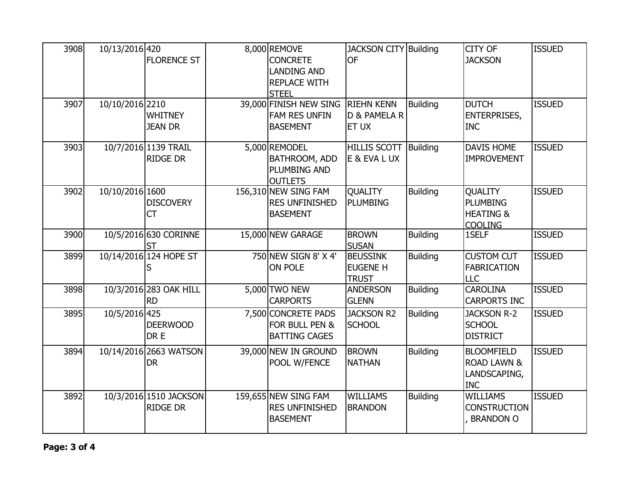| 3908 | 10/13/2016 420  | <b>FLORENCE ST</b>                        | 8,000 REMOVE<br><b>CONCRETE</b><br><b>LANDING AND</b><br><b>REPLACE WITH</b><br><b>STEEL</b> | <b>JACKSON CITY Building</b><br><b>OF</b>          |                 | <b>CITY OF</b><br><b>JACKSON</b>                                            | <b>ISSUED</b> |
|------|-----------------|-------------------------------------------|----------------------------------------------------------------------------------------------|----------------------------------------------------|-----------------|-----------------------------------------------------------------------------|---------------|
| 3907 | 10/10/2016 2210 | <b>WHITNEY</b><br><b>JEAN DR</b>          | 39,000 FINISH NEW SING<br><b>FAM RES UNFIN</b><br><b>BASEMENT</b>                            | <b>RIEHN KENN</b><br>D & PAMELA R<br>ET UX         | <b>Building</b> | <b>DUTCH</b><br><b>ENTERPRISES,</b><br><b>INC</b>                           | <b>ISSUED</b> |
| 3903 |                 | 10/7/2016 1139 TRAIL<br><b>RIDGE DR</b>   | 5,000 REMODEL<br>BATHROOM, ADD<br>PLUMBING AND<br><b>OUTLETS</b>                             | HILLIS SCOTT Building<br>E & EVA L UX              |                 | <b>DAVIS HOME</b><br><b>IMPROVEMENT</b>                                     | <b>ISSUED</b> |
| 3902 | 10/10/2016 1600 | <b>DISCOVERY</b><br>CT                    | 156,310 NEW SING FAM<br><b>RES UNFINISHED</b><br><b>BASEMENT</b>                             | <b>QUALITY</b><br><b>PLUMBING</b>                  | <b>Building</b> | <b>QUALITY</b><br><b>PLUMBING</b><br><b>HEATING &amp;</b><br><b>COOLING</b> | <b>ISSUED</b> |
| 3900 |                 | 10/5/2016 630 CORINNE<br><b>ST</b>        | 15,000 NEW GARAGE                                                                            | <b>BROWN</b><br><b>SUSAN</b>                       | <b>Building</b> | 1SELF                                                                       | <b>ISSUED</b> |
| 3899 |                 | 10/14/2016 124 HOPE ST                    | 750 NEW SIGN 8' X 4'<br>ON POLE                                                              | <b>BEUSSINK</b><br><b>EUGENE H</b><br><b>TRUST</b> | <b>Building</b> | <b>CUSTOM CUT</b><br><b>FABRICATION</b><br><b>LLC</b>                       | <b>ISSUED</b> |
| 3898 |                 | 10/3/2016 283 OAK HILL<br><b>RD</b>       | 5,000 TWO NEW<br><b>CARPORTS</b>                                                             | <b>ANDERSON</b><br><b>GLENN</b>                    | <b>Building</b> | <b>CAROLINA</b><br><b>CARPORTS INC</b>                                      | <b>ISSUED</b> |
| 3895 | 10/5/2016 425   | <b>DEERWOOD</b><br>DR E                   | 7,500 CONCRETE PADS<br>FOR BULL PEN &<br><b>BATTING CAGES</b>                                | <b>JACKSON R2</b><br><b>SCHOOL</b>                 | <b>Building</b> | <b>JACKSON R-2</b><br><b>SCHOOL</b><br><b>DISTRICT</b>                      | <b>ISSUED</b> |
| 3894 |                 | 10/14/2016 2663 WATSON<br><b>DR</b>       | 39,000 NEW IN GROUND<br>POOL W/FENCE                                                         | <b>BROWN</b><br><b>NATHAN</b>                      | <b>Building</b> | <b>BLOOMFIELD</b><br><b>ROAD LAWN &amp;</b><br>LANDSCAPING,<br><b>INC</b>   | <b>ISSUED</b> |
| 3892 |                 | 10/3/2016 1510 JACKSON<br><b>RIDGE DR</b> | 159,655 NEW SING FAM<br><b>RES UNFINISHED</b><br><b>BASEMENT</b>                             | <b>WILLIAMS</b><br><b>BRANDON</b>                  | <b>Building</b> | <b>WILLIAMS</b><br><b>CONSTRUCTION</b><br><b>BRANDON O</b>                  | <b>ISSUED</b> |